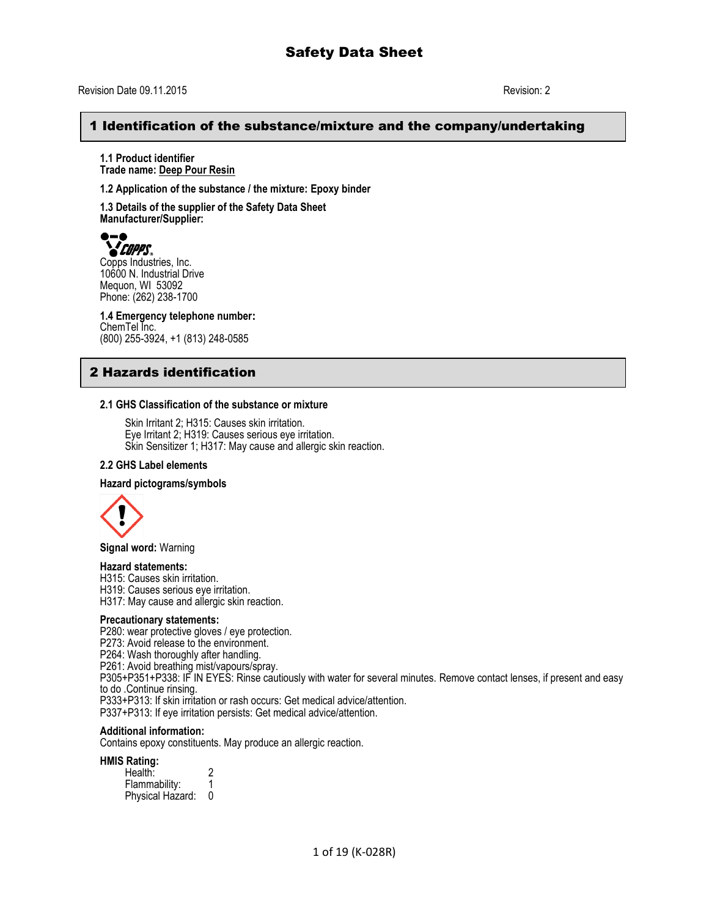## 1 Identification of the substance/mixture and the company/undertaking

**1.1 Product identifier Trade name: Deep Pour Resin**

**1.2 Application of the substance / the mixture: Epoxy binder**

**1.3 Details of the supplier of the Safety Data Sheet Manufacturer/Supplier:**



Copps Industries, Inc. 10600 N. Industrial Drive Mequon, WI 53092 Phone: (262) 238-1700

**1.4 Emergency telephone number:** ChemTel Inc. (800) 255-3924, +1 (813) 248-0585

## 2 Hazards identification

#### **2.1 GHS Classification of the substance or mixture**

Skin Irritant 2; H315: Causes skin irritation. Eye Irritant 2; H319: Causes serious eye irritation. Skin Sensitizer 1; H317: May cause and allergic skin reaction.

#### **2.2 GHS Label elements**

#### **Hazard pictograms/symbols**



**Signal word:** Warning

#### **Hazard statements:**

H315: Causes skin irritation.

H319: Causes serious eye irritation.

H317: May cause and allergic skin reaction.

#### **Precautionary statements:**

P280: wear protective gloves / eye protection.

P273: Avoid release to the environment.

P264: Wash thoroughly after handling.

P261: Avoid breathing mist/vapours/spray.

P305+P351+P338: IF IN EYES: Rinse cautiously with water for several minutes. Remove contact lenses, if present and easy to do .Continue rinsing.

P333+P313: If skin irritation or rash occurs: Get medical advice/attention. P337+P313: If eye irritation persists: Get medical advice/attention.

#### **Additional information:**

Contains epoxy constituents. May produce an allergic reaction.

#### **HMIS Rating:**

Health: 2 Flammability: 1 Physical Hazard: 0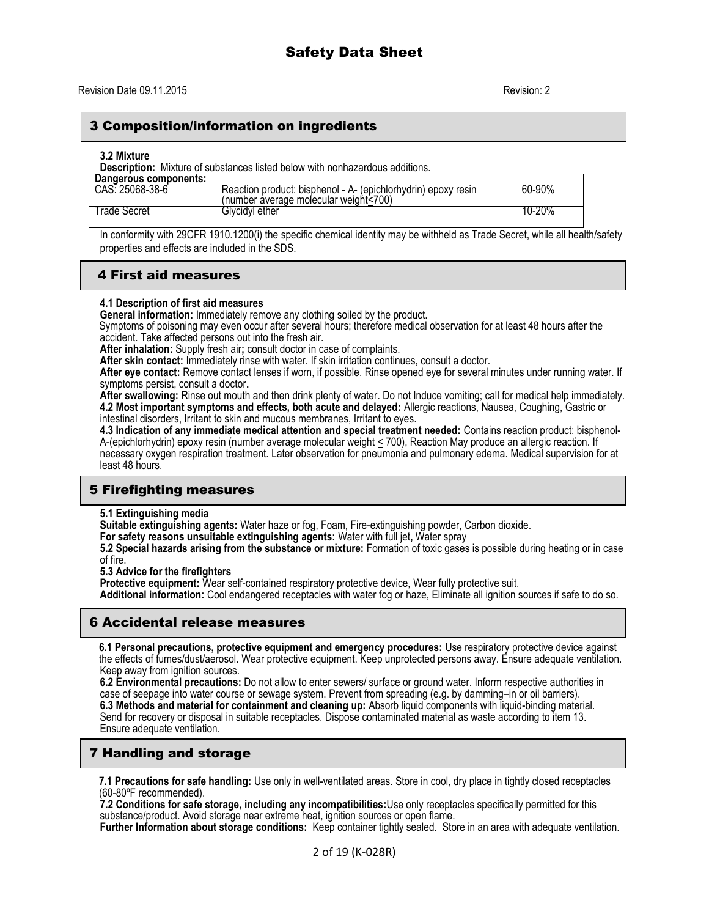## 3 Composition/information on ingredients

#### **3.2 Mixture**

**Description:** Mixture of substances listed below with nonhazardous additions.

| Dangerous components: |                                                                                                        |        |
|-----------------------|--------------------------------------------------------------------------------------------------------|--------|
| CAS: 25068-38-6       | Reaction product: bisphenol - A- (epichlorhydrin) epoxy resin<br>(number average molecular weight<700) | 60-90% |
| l rade Secret         | Glvcidvl ether                                                                                         | 10-20% |

In conformity with 29CFR 1910.1200(i) the specific chemical identity may be withheld as Trade Secret, while all health/safety properties and effects are included in the SDS.

## 4 First aid measures

#### **4.1 Description of first aid measures**

**General information:** Immediately remove any clothing soiled by the product.

Symptoms of poisoning may even occur after several hours; therefore medical observation for at least 48 hours after the accident. Take affected persons out into the fresh air.

**After inhalation:** Supply fresh air**;** consult doctor in case of complaints.

**After skin contact:** Immediately rinse with water. If skin irritation continues, consult a doctor.

**After eye contact:** Remove contact lenses if worn, if possible. Rinse opened eye for several minutes under running water. If symptoms persist, consult a doctor**.**

**After swallowing:** Rinse out mouth and then drink plenty of water. Do not Induce vomiting; call for medical help immediately. **4.2 Most important symptoms and effects, both acute and delayed:** Allergic reactions, Nausea, Coughing, Gastric or intestinal disorders, Irritant to skin and mucous membranes, Irritant to eyes.

**4.3 Indication of any immediate medical attention and special treatment needed:** Contains reaction product: bisphenol-A-(epichlorhydrin) epoxy resin (number average molecular weight < 700), Reaction May produce an allergic reaction. If necessary oxygen respiration treatment. Later observation for pneumonia and pulmonary edema. Medical supervision for at least 48 hours.

## 5 Firefighting measures

**5.1 Extinguishing media**

**Suitable extinguishing agents:** Water haze or fog, Foam, Fire-extinguishing powder, Carbon dioxide.

**For safety reasons unsuitable extinguishing agents:** Water with full jet**,** Water spray

**5.2 Special hazards arising from the substance or mixture:** Formation of toxic gases is possible during heating or in case of fire.

**5.3 Advice for the firefighters**

**Protective equipment:** Wear self-contained respiratory protective device, Wear fully protective suit.

**Additional information:** Cool endangered receptacles with water fog or haze, Eliminate all ignition sources if safe to do so.

### 6 Accidental release measures

**6.1 Personal precautions, protective equipment and emergency procedures:** Use respiratory protective device against the effects of fumes/dust/aerosol. Wear protective equipment. Keep unprotected persons away. Ensure adequate ventilation. Keep away from ignition sources.

**6.2 Environmental precautions:** Do not allow to enter sewers/ surface or ground water. Inform respective authorities in case of seepage into water course or sewage system. Prevent from spreading (e.g. by damming–in or oil barriers). **6.3 Methods and material for containment and cleaning up:** Absorb liquid components with liquid-binding material. Send for recovery or disposal in suitable receptacles. Dispose contaminated material as waste according to item 13. Ensure adequate ventilation.

## 7 Handling and storage

**7.1 Precautions for safe handling:** Use only in well-ventilated areas. Store in cool, dry place in tightly closed receptacles (60-80ºF recommended).

**7.2 Conditions for safe storage, including any incompatibilities:**Use only receptacles specifically permitted for this substance/product. Avoid storage near extreme heat, ignition sources or open flame.

**Further Information about storage conditions:** Keep container tightly sealed. Store in an area with adequate ventilation.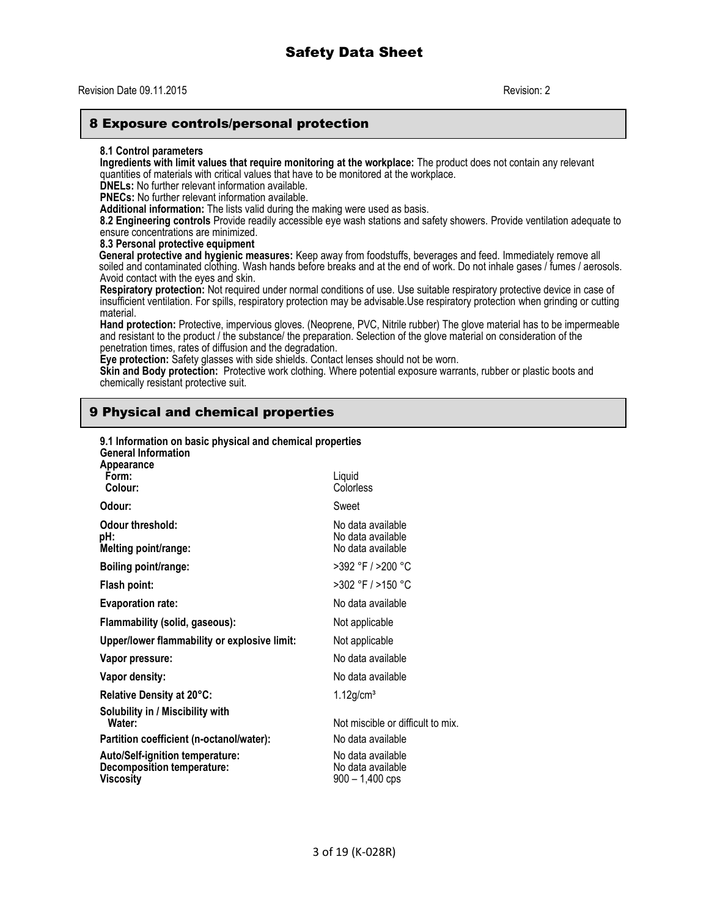#### Revision Date 09.11.2015 Revision: 2

## 8 Exposure controls/personal protection

#### **8.1 Control parameters**

**Ingredients with limit values that require monitoring at the workplace:** The product does not contain any relevant quantities of materials with critical values that have to be monitored at the workplace.

**DNELs:** No further relevant information available.

**PNECs:** No further relevant information available.

**Additional information:** The lists valid during the making were used as basis.

**8.2 Engineering controls** Provide readily accessible eye wash stations and safety showers. Provide ventilation adequate to ensure concentrations are minimized.

#### **8.3 Personal protective equipment**

**General protective and hygienic measures:** Keep away from foodstuffs, beverages and feed. Immediately remove all soiled and contaminated clothing. Wash hands before breaks and at the end of work. Do not inhale gases / fumes / aerosols. Avoid contact with the eyes and skin.

**Respiratory protection:** Not required under normal conditions of use. Use suitable respiratory protective device in case of insufficient ventilation. For spills, respiratory protection may be advisable.Use respiratory protection when grinding or cutting material.

**Hand protection:** Protective, impervious gloves. (Neoprene, PVC, Nitrile rubber) The glove material has to be impermeable and resistant to the product / the substance/ the preparation. Selection of the glove material on consideration of the penetration times, rates of diffusion and the degradation.

**Eye protection:** Safety glasses with side shields. Contact lenses should not be worn.

**Skin and Body protection:** Protective work clothing. Where potential exposure warrants, rubber or plastic boots and chemically resistant protective suit.

## 9 Physical and chemical properties

| <b>General Information</b>                            | 9.1 Information on basic physical and chemical properties |                                                             |
|-------------------------------------------------------|-----------------------------------------------------------|-------------------------------------------------------------|
| <b>Appearance</b><br>Form:<br>Colour:                 |                                                           | Liquid<br>Colorless                                         |
| Odour:                                                |                                                           | Sweet                                                       |
| Odour threshold:<br>pH:<br>Melting point/range:       |                                                           | No data available<br>No data available<br>No data available |
| Boiling point/range:                                  |                                                           | >392 °F / >200 °C                                           |
| Flash point:                                          |                                                           | >302 °F / >150 °C                                           |
| <b>Evaporation rate:</b>                              |                                                           | No data available                                           |
|                                                       | Flammability (solid, gaseous):                            | Not applicable                                              |
|                                                       | Upper/lower flammability or explosive limit:              | Not applicable                                              |
| Vapor pressure:                                       |                                                           | No data available                                           |
| Vapor density:                                        |                                                           | No data available                                           |
| Relative Density at 20°C:                             |                                                           | $1.12$ g/cm <sup>3</sup>                                    |
| Solubility in / Miscibility with<br>Water:            |                                                           | Not miscible or difficult to mix.                           |
|                                                       | Partition coefficient (n-octanol/water):                  | No data available                                           |
| <b>Decomposition temperature:</b><br><b>Viscositv</b> | <b>Auto/Self-ignition temperature:</b>                    | No data available<br>No data available<br>900 - 1,400 cps   |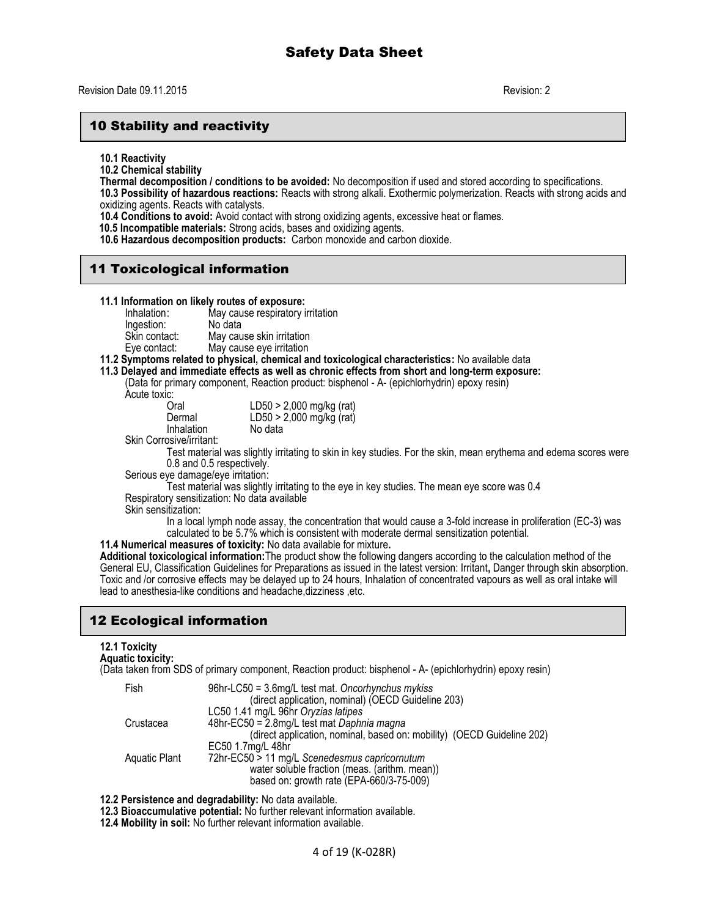## 10 Stability and reactivity

**10.1 Reactivity**

**10.2 Chemical stability**

**Thermal decomposition / conditions to be avoided:** No decomposition if used and stored according to specifications.

**10.3 Possibility of hazardous reactions:** Reacts with strong alkali. Exothermic polymerization. Reacts with strong acids and oxidizing agents. Reacts with catalysts.

**10.4 Conditions to avoid:** Avoid contact with strong oxidizing agents, excessive heat or flames.

 **10.5 Incompatible materials:** Strong acids, bases and oxidizing agents.

**10.6 Hazardous decomposition products:** Carbon monoxide and carbon dioxide.

## 11 Toxicological information

|             | 11.1 Information on likely routes of exposure: |
|-------------|------------------------------------------------|
| Inhalation: | May cause respiratory irritation               |
| Ingaction:  | Alo data                                       |

Ingestion: No data<br>Skin contact: May cau May cause skin irritation Eye contact: May cause eye irritation

#### **11.2 Symptoms related to physical, chemical and toxicological characteristics:** No available data

**11.3 Delayed and immediate effects as well as chronic effects from short and long-term exposure:** 

(Data for primary component, Reaction product: bisphenol - A- (epichlorhydrin) epoxy resin) Acute toxic:

Inhalation

Oral LD50 > 2,000 mg/kg (rat)  $LD50 > 2,000$  mg/kg (rat)<br>No data

Skin Corrosive/irritant:

Test material was slightly irritating to skin in key studies. For the skin, mean erythema and edema scores were 0.8 and 0.5 respectively.

Serious eye damage/eye irritation:

Test material was slightly irritating to the eye in key studies. The mean eye score was 0.4 Respiratory sensitization: No data available

Skin sensitization:

In a local lymph node assay, the concentration that would cause a 3-fold increase in proliferation (EC-3) was calculated to be 5.7% which is consistent with moderate dermal sensitization potential.

**11.4 Numerical measures of toxicity:** No data available for mixture**.**

**Additional toxicological information:**The product show the following dangers according to the calculation method of the General EU, Classification Guidelines for Preparations as issued in the latest version: Irritant**,** Danger through skin absorption. Toxic and /or corrosive effects may be delayed up to 24 hours, Inhalation of concentrated vapours as well as oral intake will lead to anesthesia-like conditions and headache,dizziness ,etc.

## 12 Ecological information

#### **12.1 Toxicity Aquatic toxicity:**

(Data taken from SDS of primary component, Reaction product: bisphenol - A- (epichlorhydrin) epoxy resin)

| Fish          | 96hr-LC50 = 3.6mg/L test mat. Oncorhynchus mykiss                      |
|---------------|------------------------------------------------------------------------|
|               | (direct application, nominal) (OECD Guideline 203)                     |
|               | LC50 1.41 mg/L 96hr Oryzias latipes                                    |
| Crustacea     | 48hr-EC50 = 2.8mg/L test mat Daphnia magna                             |
|               | (direct application, nominal, based on: mobility) (OECD Guideline 202) |
|               | EC50 1.7mg/L 48hr                                                      |
| Aquatic Plant | 72hr-EC50 > 11 mg/L Scenedesmus capricornutum                          |
|               | water soluble fraction (meas. (arithm. mean))                          |
|               | based on: growth rate (EPA-660/3-75-009)                               |

**12.2 Persistence and degradability:** No data available.

**12.3 Bioaccumulative potential:** No further relevant information available.

**12.4 Mobility in soil:** No further relevant information available.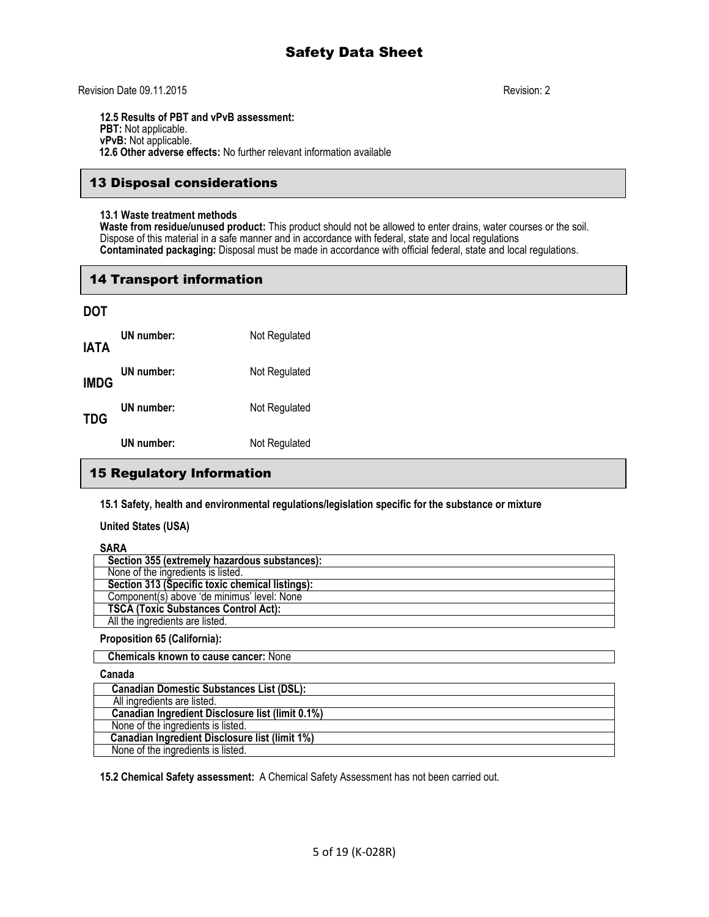Revision Date 09.11.2015 Revision: 2

**12.5 Results of PBT and vPvB assessment: PBT:** Not applicable. **vPvB:** Not applicable.  **12.6 Other adverse effects:** No further relevant information available

## 13 Disposal considerations

#### **13.1 Waste treatment methods**

**Waste from residue/unused product:** This product should not be allowed to enter drains, water courses or the soil. Dispose of this material in a safe manner and in accordance with federal, state and local regulations **Contaminated packaging:** Disposal must be made in accordance with official federal, state and local regulations.

## 14 Transport information

## **DOT**

| IATA        | UN number: | Not Regulated |
|-------------|------------|---------------|
| <b>IMDG</b> | UN number: | Not Regulated |
| TDG         | UN number: | Not Regulated |
|             | UN number: | Not Regulated |

## 15 Regulatory Information

**15.1 Safety, health and environmental regulations/legislation specific for the substance or mixture**

**United States (USA)**

## **SARA**

| 1111                                            |
|-------------------------------------------------|
| Section 355 (extremely hazardous substances):   |
| None of the ingredients is listed.              |
| Section 313 (Specific toxic chemical listings): |
| Component(s) above 'de minimus' level: None     |
| <b>TSCA (Toxic Substances Control Act):</b>     |
| All the ingredients are listed.                 |
|                                                 |

#### **Proposition 65 (California):**

 **Chemicals known to cause cancer:** None

### **Canada**

| <b>Canadian Domestic Substances List (DSL):</b>         |
|---------------------------------------------------------|
| All ingredients are listed.                             |
| <b>Canadian Ingredient Disclosure list (limit 0.1%)</b> |
| None of the ingredients is listed.                      |
| <b>Canadian Ingredient Disclosure list (limit 1%)</b>   |
| None of the ingredients is listed.                      |

**15.2 Chemical Safety assessment:** A Chemical Safety Assessment has not been carried out.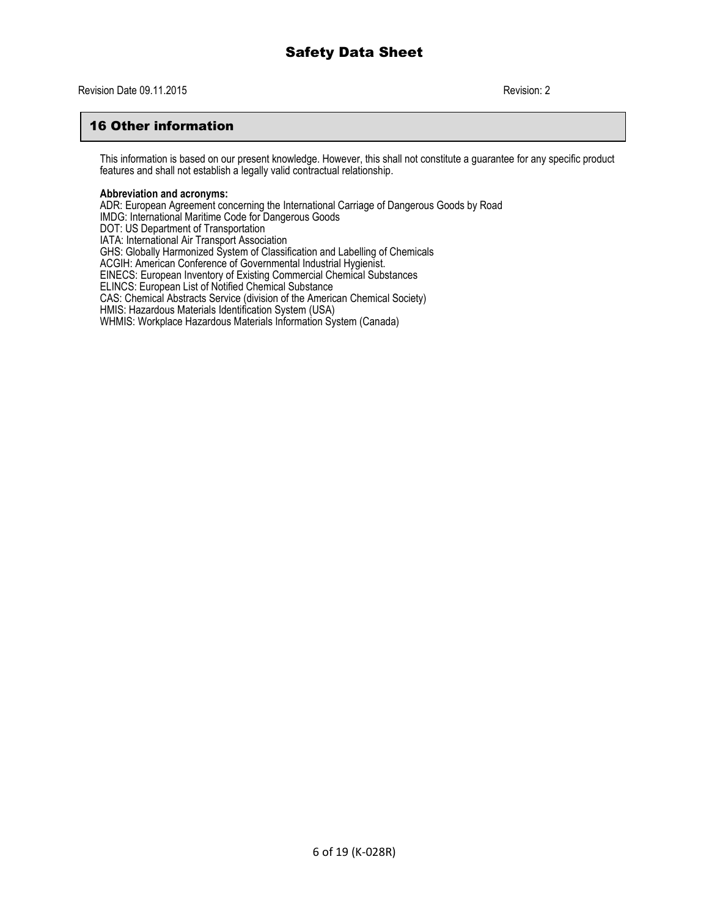## 16 Other information

This information is based on our present knowledge. However, this shall not constitute a guarantee for any specific product features and shall not establish a legally valid contractual relationship.

#### **Abbreviation and acronyms:**

ADR: European Agreement concerning the International Carriage of Dangerous Goods by Road IMDG: International Maritime Code for Dangerous Goods DOT: US Department of Transportation IATA: International Air Transport Association GHS: Globally Harmonized System of Classification and Labelling of Chemicals ACGIH: American Conference of Governmental Industrial Hygienist. EINECS: European Inventory of Existing Commercial Chemical Substances ELINCS: European List of Notified Chemical Substance CAS: Chemical Abstracts Service (division of the American Chemical Society) HMIS: Hazardous Materials Identification System (USA) WHMIS: Workplace Hazardous Materials Information System (Canada)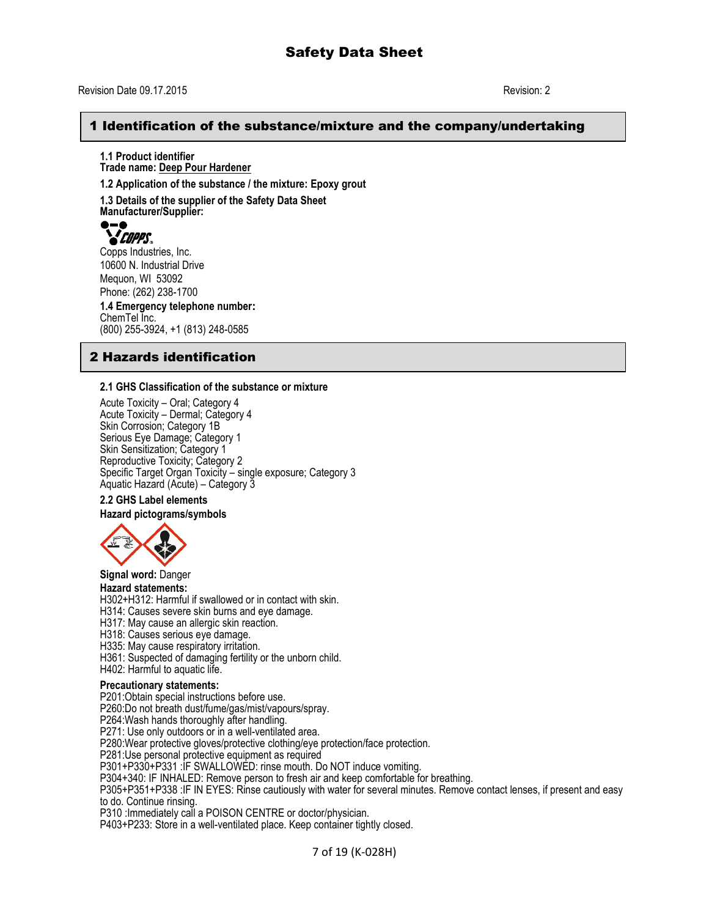#### Revision Date 09.17.2015 Revision: 2

## 1 Identification of the substance/mixture and the company/undertaking

**1.1 Product identifier Trade name: Deep Pour Hardener**

**1.2 Application of the substance / the mixture: Epoxy grout**

**1.3 Details of the supplier of the Safety Data Sheet Manufacturer/Supplier:**



Copps Industries, Inc. 10600 N. Industrial Drive Mequon, WI 53092 Phone: (262) 238-1700

**1.4 Emergency telephone number:** ChemTel Inc. (800) 255-3924, +1 (813) 248-0585

## 2 Hazards identification

#### **2.1 GHS Classification of the substance or mixture**

Acute Toxicity – Oral; Category 4 Acute Toxicity – Dermal; Category 4 Skin Corrosion; Category 1B Serious Eye Damage; Category 1 Skin Sensitization; Category 1 Reproductive Toxicity; Category 2 Specific Target Organ Toxicity – single exposure; Category 3 Aquatic Hazard (Acute) – Category 3

### **2.2 GHS Label elements**

**Hazard pictograms/symbols**



**Signal word:** Danger

#### **Hazard statements:**

H302+H312: Harmful if swallowed or in contact with skin.

H314: Causes severe skin burns and eye damage.

H317: May cause an allergic skin reaction.

H318: Causes serious eye damage.

H335: May cause respiratory irritation.

H361: Suspected of damaging fertility or the unborn child.

H402: Harmful to aquatic life.

#### **Precautionary statements:**

P201:Obtain special instructions before use.

P260:Do not breath dust/fume/gas/mist/vapours/spray.

P264:Wash hands thoroughly after handling.

P271: Use only outdoors or in a well-ventilated area.

P280:Wear protective gloves/protective clothing/eye protection/face protection.

P281:Use personal protective equipment as required

P301+P330+P331 :IF SWALLOWED: rinse mouth. Do NOT induce vomiting.

P304+340: IF INHALED: Remove person to fresh air and keep comfortable for breathing.

P305+P351+P338 :IF IN EYES: Rinse cautiously with water for several minutes. Remove contact lenses, if present and easy to do. Continue rinsing.

P310 :Immediately call a POISON CENTRE or doctor/physician.

P403+P233: Store in a well-ventilated place. Keep container tightly closed.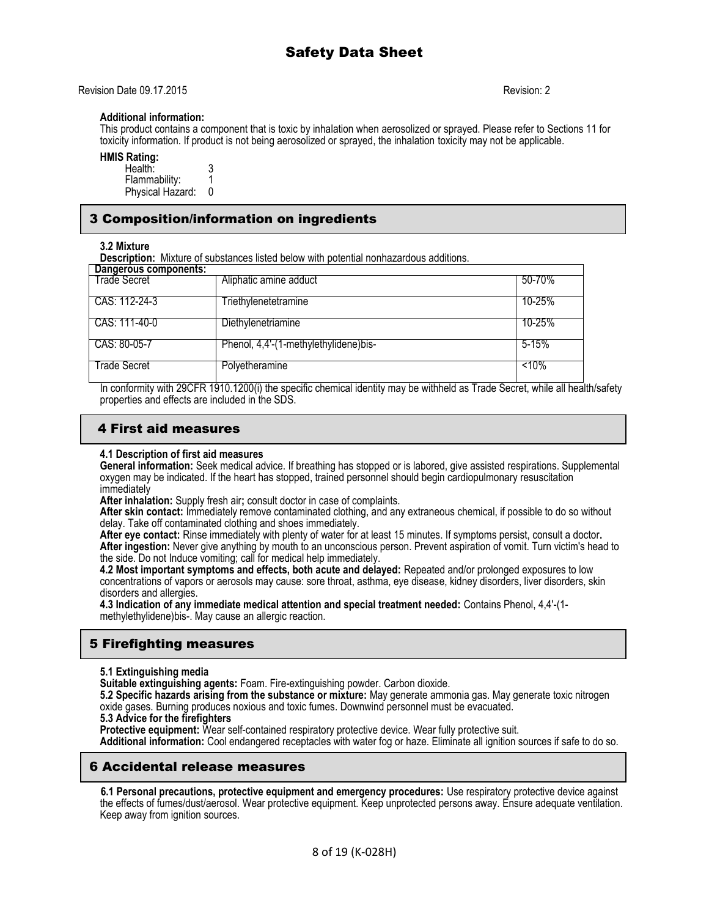Revision Date 09.17.2015 Revision: 2

#### **Additional information:**

This product contains a component that is toxic by inhalation when aerosolized or sprayed. Please refer to Sections 11 for toxicity information. If product is not being aerosolized or sprayed, the inhalation toxicity may not be applicable.

### **HMIS Rating:**

| Health:          |  |
|------------------|--|
| Flammability:    |  |
| Physical Hazard: |  |

## 3 Composition/information on ingredients

#### **3.2 Mixture**

**Description:** Mixture of substances listed below with potential nonhazardous additions.

| Dangerous components: |                                       |            |
|-----------------------|---------------------------------------|------------|
| <b>Trade Secret</b>   | Aliphatic amine adduct                | 50-70%     |
| I CAS: 112-24-3       | Triethylenetetramine                  | $10 - 25%$ |
| CAS: 111-40-0         | Diethylenetriamine                    | $10 - 25%$ |
| CAS: 80-05-7          | Phenol, 4,4'-(1-methylethylidene)bis- | 5-15%      |
| Trade Secret          | Polyetheramine                        | $10\%$     |

In conformity with 29CFR 1910.1200(i) the specific chemical identity may be withheld as Trade Secret, while all health/safety properties and effects are included in the SDS.

## 4 First aid measures

#### **4.1 Description of first aid measures**

**General information:** Seek medical advice. If breathing has stopped or is labored, give assisted respirations. Supplemental oxygen may be indicated. If the heart has stopped, trained personnel should begin cardiopulmonary resuscitation immediately

**After inhalation:** Supply fresh air**;** consult doctor in case of complaints.

**After skin contact:** Immediately remove contaminated clothing, and any extraneous chemical, if possible to do so without delay. Take off contaminated clothing and shoes immediately.

**After eye contact:** Rinse immediately with plenty of water for at least 15 minutes. If symptoms persist, consult a doctor**. After ingestion:** Never give anything by mouth to an unconscious person. Prevent aspiration of vomit. Turn victim's head to the side. Do not Induce vomiting; call for medical help immediately.

**4.2 Most important symptoms and effects, both acute and delayed:** Repeated and/or prolonged exposures to low concentrations of vapors or aerosols may cause: sore throat, asthma, eye disease, kidney disorders, liver disorders, skin disorders and allergies.

**4.3 Indication of any immediate medical attention and special treatment needed:** Contains Phenol, 4,4'-(1 methylethylidene)bis-. May cause an allergic reaction.

## 5 Firefighting measures

#### **5.1 Extinguishing media**

**Suitable extinguishing agents:** Foam. Fire-extinguishing powder. Carbon dioxide.

**5.2 Specific hazards arising from the substance or mixture:** May generate ammonia gas. May generate toxic nitrogen oxide gases. Burning produces noxious and toxic fumes. Downwind personnel must be evacuated.

### **5.3 Advice for the firefighters**

**Protective equipment:** Wear self-contained respiratory protective device. Wear fully protective suit.

**Additional information:** Cool endangered receptacles with water fog or haze. Eliminate all ignition sources if safe to do so.

### 6 Accidental release measures

 **6.1 Personal precautions, protective equipment and emergency procedures:** Use respiratory protective device against the effects of fumes/dust/aerosol. Wear protective equipment. Keep unprotected persons away. Ensure adequate ventilation. Keep away from ignition sources.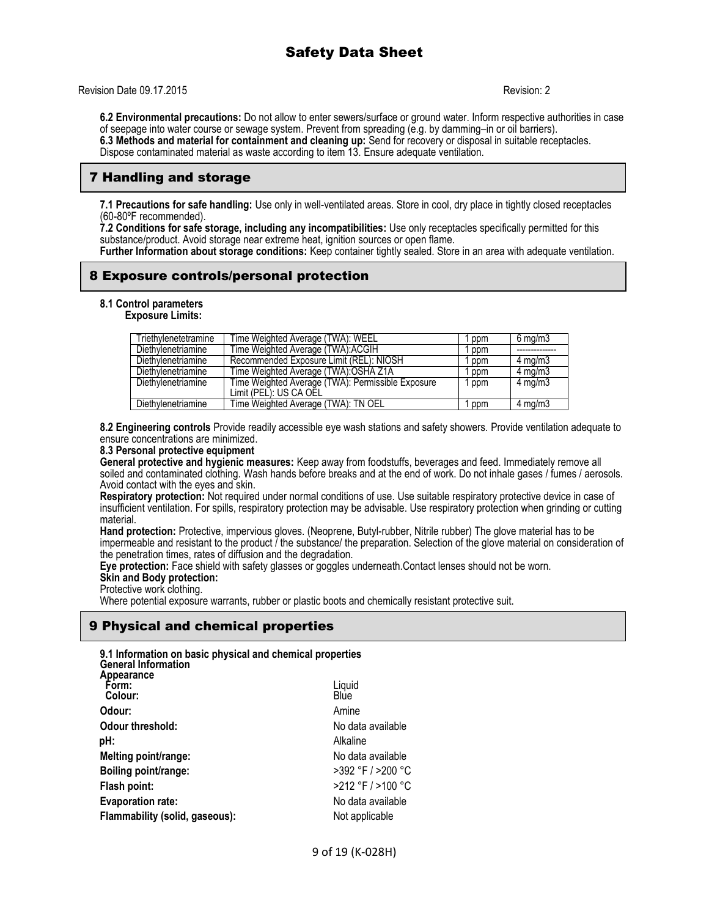Revision Date 09.17.2015 Revision: 2

**6.2 Environmental precautions:** Do not allow to enter sewers/surface or ground water. Inform respective authorities in case of seepage into water course or sewage system. Prevent from spreading (e.g. by damming–in or oil barriers). **6.3 Methods and material for containment and cleaning up:** Send for recovery or disposal in suitable receptacles. Dispose contaminated material as waste according to item 13. Ensure adequate ventilation.

## 7 Handling and storage

**7.1 Precautions for safe handling:** Use only in well-ventilated areas. Store in cool, dry place in tightly closed receptacles (60-80ºF recommended).

**7.2 Conditions for safe storage, including any incompatibilities:** Use only receptacles specifically permitted for this substance/product. Avoid storage near extreme heat, ignition sources or open flame.

**Further Information about storage conditions:** Keep container tightly sealed. Store in an area with adequate ventilation.

## 8 Exposure controls/personal protection

#### **8.1 Control parameters**

#### **Exposure Limits:**

| Triethvlenetetramine | Time Weighted Average (TWA): WEEL                 | ppm   | $6 \text{ mg/m}$ |
|----------------------|---------------------------------------------------|-------|------------------|
| Diethylenetriamine   | Time Weighted Average (TWA): ACGIH                | ppm   |                  |
| Diethylenetriamine   | Recommended Exposure Limit (REL): NIOSH           | ppm   | $4 \text{ mg/m}$ |
| Diethylenetriamine   | Time Weighted Average (TWA):OSHA Z1A              | ppm   | $4 \text{ mg/m}$ |
| Diethylenetriamine   | Time Weighted Average (TWA): Permissible Exposure | 1 ppm | $4 \text{ mg/m}$ |
|                      | Limit (PEL): US CA OEL                            |       |                  |
| Diethylenetriamine   | Time Weighted Average (TWA): TN OEL               | ppm   | $4 \text{ mg/m}$ |

**8.2 Engineering controls** Provide readily accessible eye wash stations and safety showers. Provide ventilation adequate to ensure concentrations are minimized.

#### **8.3 Personal protective equipment**

**General protective and hygienic measures:** Keep away from foodstuffs, beverages and feed. Immediately remove all soiled and contaminated clothing. Wash hands before breaks and at the end of work. Do not inhale gases / fumes / aerosols. Avoid contact with the eyes and skin.

**Respiratory protection:** Not required under normal conditions of use. Use suitable respiratory protective device in case of insufficient ventilation. For spills, respiratory protection may be advisable. Use respiratory protection when grinding or cutting material.

**Hand protection:** Protective, impervious gloves. (Neoprene, Butyl-rubber, Nitrile rubber) The glove material has to be impermeable and resistant to the product  $\tilde{I}$  the substance/ the preparation. Selection of the glove material on consideration of the penetration times, rates of diffusion and the degradation.

**Eye protection:** Face shield with safety glasses or goggles underneath.Contact lenses should not be worn.

#### **Skin and Body protection:**

Protective work clothing.

Where potential exposure warrants, rubber or plastic boots and chemically resistant protective suit.

## 9 Physical and chemical properties

| 9.1 Information on basic physical and chemical properties<br><b>General Information</b> |                   |
|-----------------------------------------------------------------------------------------|-------------------|
| Appearance<br>Form:<br>Colour:                                                          | Liquid<br>Blue    |
| Odour:                                                                                  | Amine             |
| Odour threshold:                                                                        | No data available |
| pH:                                                                                     | Alkaline          |
| Melting point/range:                                                                    | No data available |
| Boiling point/range:                                                                    | >392 °F / >200 °C |
| Flash point:                                                                            | >212 °F / >100 °C |
| <b>Evaporation rate:</b>                                                                | No data available |
| Flammability (solid, gaseous):                                                          | Not applicable    |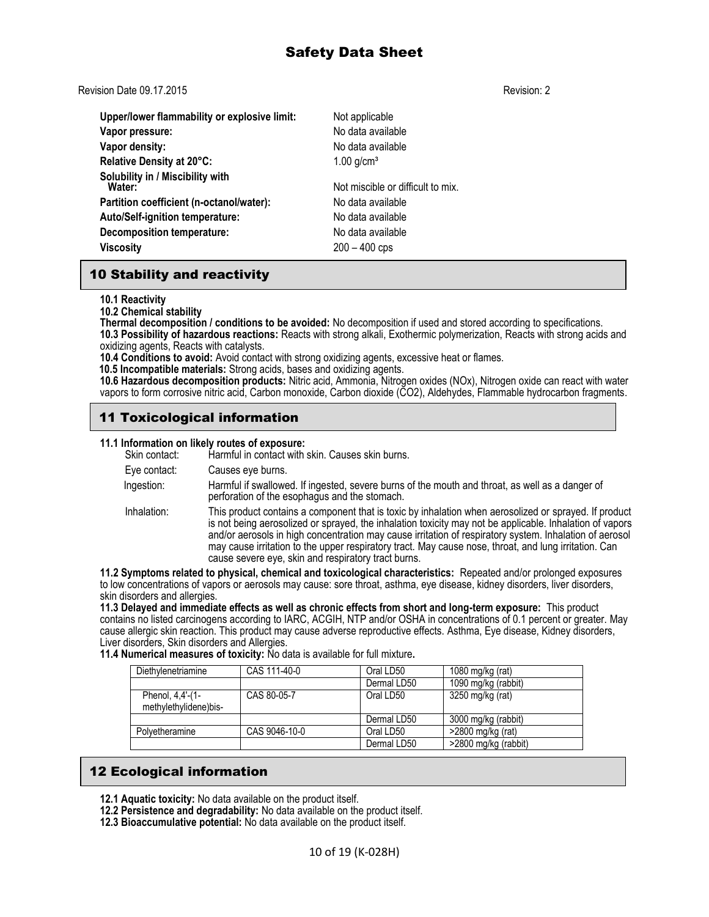Revision Date 09.17.2015 Revision: 2

| Upper/lower flammability or explosive limit: | Not applicable                    |
|----------------------------------------------|-----------------------------------|
| Vapor pressure:                              | No data available                 |
| Vapor density:                               | No data available                 |
| Relative Density at 20°C:                    | $1.00$ g/cm <sup>3</sup>          |
| Solubility in / Miscibility with<br>Water:   | Not miscible or difficult to mix. |
| Partition coefficient (n-octanol/water):     | No data available                 |
| Auto/Self-ignition temperature:              | No data available                 |
| Decomposition temperature:                   | No data available                 |
| <b>Viscosity</b>                             | $200 - 400$ cps                   |

## 10 Stability and reactivity

**10.1 Reactivity**

**10.2 Chemical stability**

**Thermal decomposition / conditions to be avoided:** No decomposition if used and stored according to specifications. **10.3 Possibility of hazardous reactions:** Reacts with strong alkali, Exothermic polymerization, Reacts with strong acids and oxidizing agents, Reacts with catalysts.

**10.4 Conditions to avoid:** Avoid contact with strong oxidizing agents, excessive heat or flames.

 **10.5 Incompatible materials:** Strong acids, bases and oxidizing agents.

**10.6 Hazardous decomposition products:** Nitric acid, Ammonia, Nitrogen oxides (NOx), Nitrogen oxide can react with water vapors to form corrosive nitric acid, Carbon monoxide, Carbon dioxide (CO2), Aldehydes, Flammable hydrocarbon fragments.

## 11 Toxicological information

#### **11.1 Information on likely routes of exposure:**

| Skin contact: | <b>TI.I MOTHQUOTI ON MAGIV TOULES OF EXPOSURE.</b><br>Harmful in contact with skin. Causes skin burns.                                                                                                                                                                                                                                                                                                                                                                                       |
|---------------|----------------------------------------------------------------------------------------------------------------------------------------------------------------------------------------------------------------------------------------------------------------------------------------------------------------------------------------------------------------------------------------------------------------------------------------------------------------------------------------------|
| Eye contact:  | Causes eye burns.                                                                                                                                                                                                                                                                                                                                                                                                                                                                            |
| Ingestion:    | Harmful if swallowed. If ingested, severe burns of the mouth and throat, as well as a danger of<br>perforation of the esophagus and the stomach.                                                                                                                                                                                                                                                                                                                                             |
| Inhalation:   | This product contains a component that is toxic by inhalation when aerosolized or sprayed. If product<br>is not being aerosolized or sprayed, the inhalation toxicity may not be applicable. Inhalation of vapors<br>and/or aerosols in high concentration may cause irritation of respiratory system. Inhalation of aerosol<br>may cause irritation to the upper respiratory tract. May cause nose, throat, and lung irritation. Can<br>cause severe eye, skin and respiratory tract burns. |
|               | 2. Cumptome related to place la phonoide and textes legislated aboratoriation. Departed and/or prolonged evening                                                                                                                                                                                                                                                                                                                                                                             |

**11.2 Symptoms related to physical, chemical and toxicological characteristics:** Repeated and/or prolonged exposures to low concentrations of vapors or aerosols may cause: sore throat, asthma, eye disease, kidney disorders, liver disorders, skin disorders and allergies.

**11.3 Delayed and immediate effects as well as chronic effects from short and long-term exposure:** This product contains no listed carcinogens according to IARC, ACGIH, NTP and/or OSHA in concentrations of 0.1 percent or greater. May cause allergic skin reaction. This product may cause adverse reproductive effects. Asthma, Eye disease, Kidney disorders, Liver disorders, Skin disorders and Allergies.

#### **11.4 Numerical measures of toxicity:** No data is available for full mixture**.**

| Diethylenetriamine                        | CAS 111-40-0  | Oral LD50   | 1080 mg/kg (rat)     |
|-------------------------------------------|---------------|-------------|----------------------|
|                                           |               | Dermal LD50 | 1090 mg/kg (rabbit)  |
| Phenol, 4,4'-(1-<br>methylethylidene)bis- | CAS 80-05-7   | Oral LD50   | 3250 mg/kg (rat)     |
|                                           |               | Dermal LD50 | 3000 mg/kg (rabbit)  |
| Polyetheramine                            | CAS 9046-10-0 | Oral LD50   | $>2800$ mg/kg (rat)  |
|                                           |               | Dermal LD50 | >2800 mg/kg (rabbit) |

## 12 Ecological information

- **12.1 Aquatic toxicity:** No data available on the product itself.
- **12.2 Persistence and degradability:** No data available on the product itself.
- **12.3 Bioaccumulative potential:** No data available on the product itself.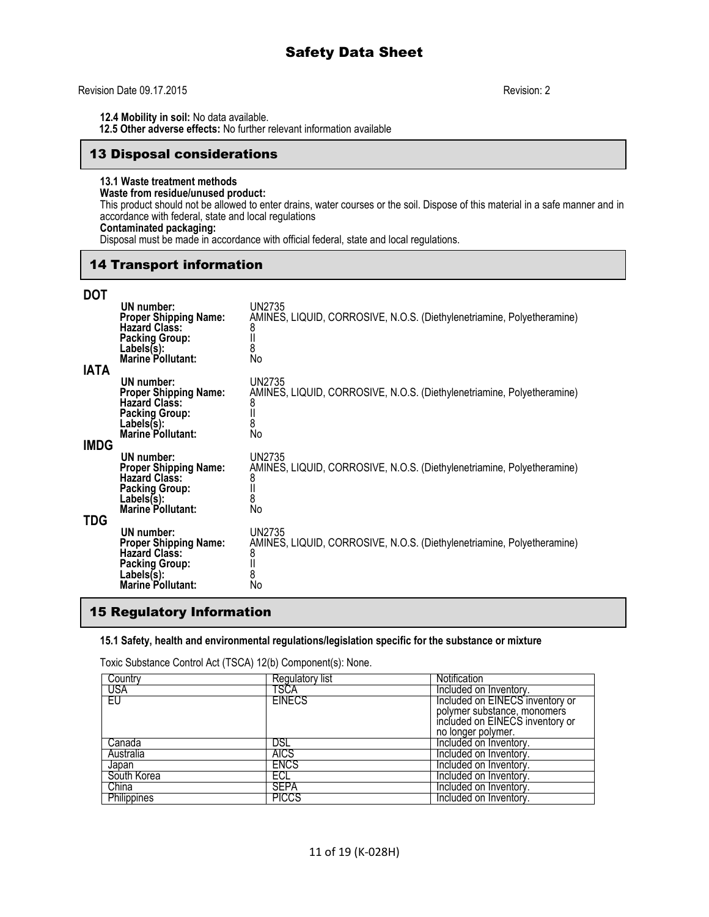#### Revision Date 09.17.2015 Revision: 2

**12.4 Mobility in soil:** No data available.

 **12.5 Other adverse effects:** No further relevant information available

## 13 Disposal considerations

## **13.1 Waste treatment methods**

## **Waste from residue/unused product:**

This product should not be allowed to enter drains, water courses or the soil. Dispose of this material in a safe manner and in accordance with federal, state and local regulations

# **Contaminated packaging:**

Disposal must be made in accordance with official federal, state and local regulations.

## 14 Transport information

## **DOT**

| IATA | UN number:<br><b>Proper Shipping Name:</b><br><b>Hazard Class:</b><br><b>Packing Group:</b><br>Labels(s):<br><b>Marine Pollutant:</b> | UN2735<br>AMINES, LIQUID, CORROSIVE, N.O.S. (Diethylenetriamine, Polyetheramine)<br>8<br>8<br>No        |
|------|---------------------------------------------------------------------------------------------------------------------------------------|---------------------------------------------------------------------------------------------------------|
| IMDG | UN number:<br><b>Proper Shipping Name:</b><br><b>Hazard Class:</b><br><b>Packing Group:</b><br>Labels(s):<br><b>Marine Pollutant:</b> | UN2735<br>AMINES, LIQUID, CORROSIVE, N.O.S. (Diethylenetriamine, Polyetheramine)<br>8<br>8<br>No        |
| TDG  | UN number:<br><b>Proper Shipping Name:</b><br><b>Hazard Class:</b><br><b>Packing Group:</b><br>Labels(s):<br><b>Marine Pollutant:</b> | UN2735<br>AMINES, LIQUID, CORROSIVE, N.O.S. (Diethylenetriamine, Polyetheramine)<br>8<br>8<br>No        |
|      | UN number:<br><b>Proper Shipping Name:</b><br><b>Hazard Class:</b><br><b>Packing Group:</b><br>Labels(s):<br>Marine Pollutant:        | <b>UN2735</b><br>AMINES, LIQUID, CORROSIVE, N.O.S. (Diethylenetriamine, Polyetheramine)<br>8<br>8<br>No |

## 15 Regulatory Information

#### **15.1 Safety, health and environmental regulations/legislation specific for the substance or mixture**

Toxic Substance Control Act (TSCA) 12(b) Component(s): None.

| Country            | Regulatory list | Notification                    |
|--------------------|-----------------|---------------------------------|
| USA                | TSCA            | Included on Inventory.          |
| EU.                | <b>EINECS</b>   | Included on EINECS inventory or |
|                    |                 | polymer substance, monomers     |
|                    |                 | included on EINECS inventory or |
|                    |                 | no longer polymer.              |
| Canada             | DSL             | Included on Inventory.          |
| Australia          | <b>AICS</b>     | Included on Inventory.          |
| Japan              | <b>ENCS</b>     | Included on Inventory.          |
| South Korea        | ECL             | Included on Inventory.          |
| China              | SEPA            | Included on Inventory.          |
| <b>Philippines</b> | <b>PICCS</b>    | Included on Inventory.          |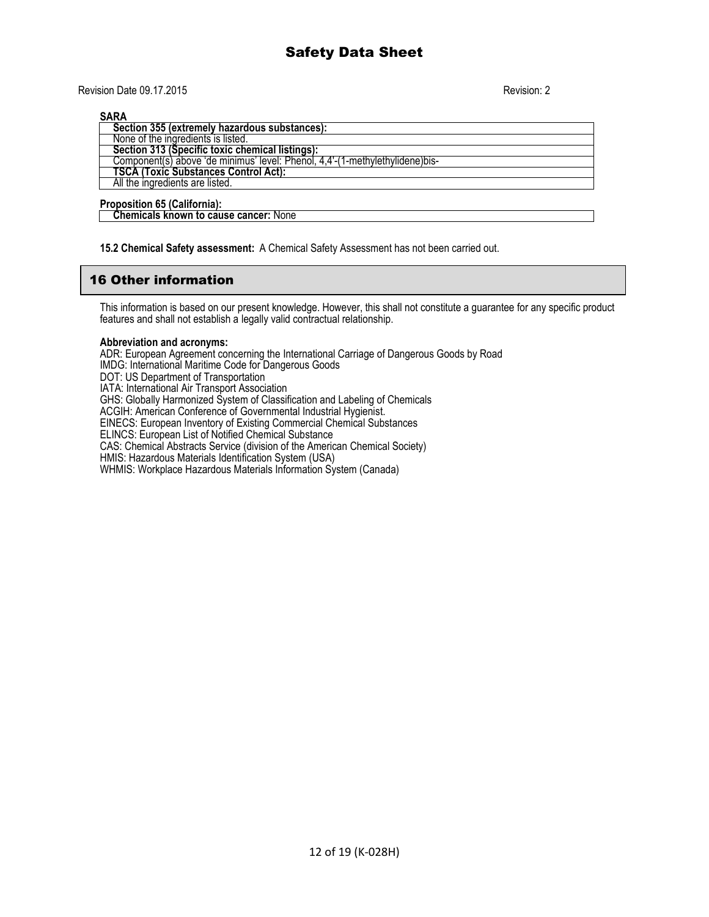Revision Date 09.17.2015 Revision: 2

**SARA**

| .                                                                             |
|-------------------------------------------------------------------------------|
| Section 355 (extremely hazardous substances):                                 |
| None of the ingredients is listed.                                            |
| Section 313 (Specific toxic chemical listings):                               |
| Component(s) above 'de minimus' level: Phenol, 4,4'-(1-methylethylidene) bis- |
| <b>TSCA (Toxic Substances Control Act):</b>                                   |
| All the ingredients are listed.                                               |
|                                                                               |

**Proposition 65 (California): Chemicals known to cause cancer:** None

**15.2 Chemical Safety assessment:** A Chemical Safety Assessment has not been carried out.

## 16 Other information

This information is based on our present knowledge. However, this shall not constitute a guarantee for any specific product features and shall not establish a legally valid contractual relationship.

#### **Abbreviation and acronyms:**

ADR: European Agreement concerning the International Carriage of Dangerous Goods by Road

IMDG: International Maritime Code for Dangerous Goods

DOT: US Department of Transportation

IATA: International Air Transport Association

GHS: Globally Harmonized System of Classification and Labeling of Chemicals

ACGIH: American Conference of Governmental Industrial Hygienist.

EINECS: European Inventory of Existing Commercial Chemical Substances

ELINCS: European List of Notified Chemical Substance

CAS: Chemical Abstracts Service (division of the American Chemical Society)

HMIS: Hazardous Materials Identification System (USA)

WHMIS: Workplace Hazardous Materials Information System (Canada)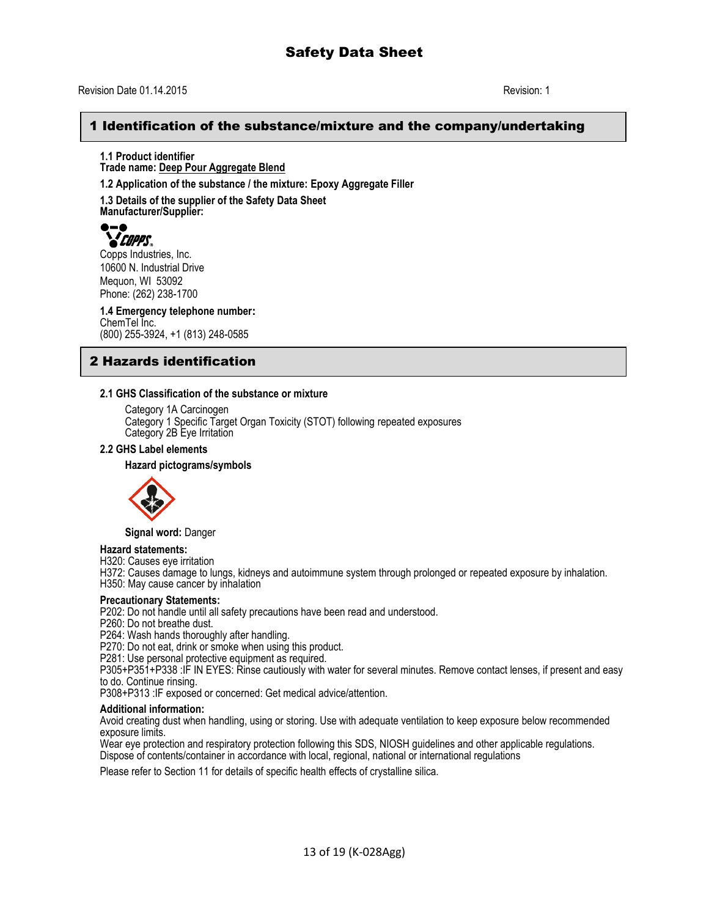## 1 Identification of the substance/mixture and the company/undertaking

**1.1 Product identifier Trade name: Deep Pour Aggregate Blend**

**1.2 Application of the substance / the mixture: Epoxy Aggregate Filler**

**1.3 Details of the supplier of the Safety Data Sheet**

**Manufacturer/Supplier:**  $\bullet$  –  $\bullet$ *COPPS* 

Copps Industries, Inc. 10600 N. Industrial Drive Mequon, WI 53092 Phone: (262) 238-1700

**1.4 Emergency telephone number:** ChemTel Inc. (800) 255-3924, +1 (813) 248-0585

## 2 Hazards identification

#### **2.1 GHS Classification of the substance or mixture**

Category 1A Carcinogen Category 1 Specific Target Organ Toxicity (STOT) following repeated exposures Category 2B Eye Irritation

#### **2.2 GHS Label elements**

#### **Hazard pictograms/symbols**



**Signal word:** Danger

#### **Hazard statements:**

H320: Causes eye irritation

H372: Causes damage to lungs, kidneys and autoimmune system through prolonged or repeated exposure by inhalation.

H350: May cause cancer by inhalation

#### **Precautionary Statements:**

P202: Do not handle until all safety precautions have been read and understood.

P260: Do not breathe dust.

P264: Wash hands thoroughly after handling.

P270: Do not eat, drink or smoke when using this product.

P281: Use personal protective equipment as required.

P305+P351+P338 :IF IN EYES: Rinse cautiously with water for several minutes. Remove contact lenses, if present and easy to do. Continue rinsing.

P308+P313 :IF exposed or concerned: Get medical advice/attention.

#### **Additional information:**

Avoid creating dust when handling, using or storing. Use with adequate ventilation to keep exposure below recommended exposure limits.

Wear eye protection and respiratory protection following this SDS, NIOSH guidelines and other applicable regulations. Dispose of contents/container in accordance with local, regional, national or international regulations

Please refer to Section 11 for details of specific health effects of crystalline silica.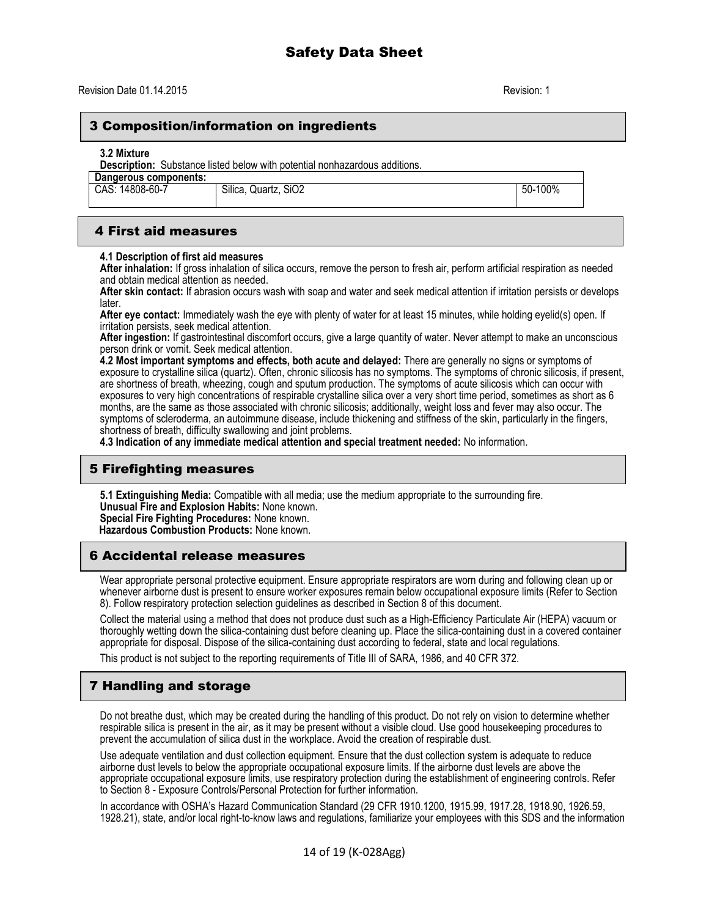## 3 Composition/information on ingredients

#### **3.2 Mixture**

**Description:** Substance listed below with potential nonhazardous additions.

| Dangerous components: |       |
|-----------------------|-------|
| CAS: 14808-60-7       | Silic |

a. Quartz. SiO2 50-100%

## 4 First aid measures

#### **4.1 Description of first aid measures**

**After inhalation:** If gross inhalation of silica occurs, remove the person to fresh air, perform artificial respiration as needed and obtain medical attention as needed.

**After skin contact:** If abrasion occurs wash with soap and water and seek medical attention if irritation persists or develops later.

**After eye contact:** Immediately wash the eye with plenty of water for at least 15 minutes, while holding eyelid(s) open. If irritation persists, seek medical attention.

**After ingestion:** If gastrointestinal discomfort occurs, give a large quantity of water. Never attempt to make an unconscious person drink or vomit. Seek medical attention.

**4.2 Most important symptoms and effects, both acute and delayed:** There are generally no signs or symptoms of exposure to crystalline silica (quartz). Often, chronic silicosis has no symptoms. The symptoms of chronic silicosis, if present, are shortness of breath, wheezing, cough and sputum production. The symptoms of acute silicosis which can occur with exposures to very high concentrations of respirable crystalline silica over a very short time period, sometimes as short as 6 months, are the same as those associated with chronic silicosis; additionally, weight loss and fever may also occur. The symptoms of scleroderma, an autoimmune disease, include thickening and stiffness of the skin, particularly in the fingers, shortness of breath, difficulty swallowing and joint problems.

**4.3 Indication of any immediate medical attention and special treatment needed:** No information.

## 5 Firefighting measures

**5.1 Extinguishing Media:** Compatible with all media; use the medium appropriate to the surrounding fire. **Unusual Fire and Explosion Habits:** None known. **Special Fire Fighting Procedures:** None known.

 **Hazardous Combustion Products:** None known.

### 6 Accidental release measures

Wear appropriate personal protective equipment. Ensure appropriate respirators are worn during and following clean up or whenever airborne dust is present to ensure worker exposures remain below occupational exposure limits (Refer to Section 8). Follow respiratory protection selection guidelines as described in Section 8 of this document.

Collect the material using a method that does not produce dust such as a High-Efficiency Particulate Air (HEPA) vacuum or thoroughly wetting down the silica-containing dust before cleaning up. Place the silica-containing dust in a covered container appropriate for disposal. Dispose of the silica-containing dust according to federal, state and local regulations.

This product is not subject to the reporting requirements of Title III of SARA, 1986, and 40 CFR 372.

## 7 Handling and storage

Do not breathe dust, which may be created during the handling of this product. Do not rely on vision to determine whether respirable silica is present in the air, as it may be present without a visible cloud. Use good housekeeping procedures to prevent the accumulation of silica dust in the workplace. Avoid the creation of respirable dust.

Use adequate ventilation and dust collection equipment. Ensure that the dust collection system is adequate to reduce airborne dust levels to below the appropriate occupational exposure limits. If the airborne dust levels are above the appropriate occupational exposure limits, use respiratory protection during the establishment of engineering controls. Refer to Section 8 - Exposure Controls/Personal Protection for further information.

In accordance with OSHA's Hazard Communication Standard (29 CFR 1910.1200, 1915.99, 1917.28, 1918.90, 1926.59, 1928.21), state, and/or local right-to-know laws and regulations, familiarize your employees with this SDS and the information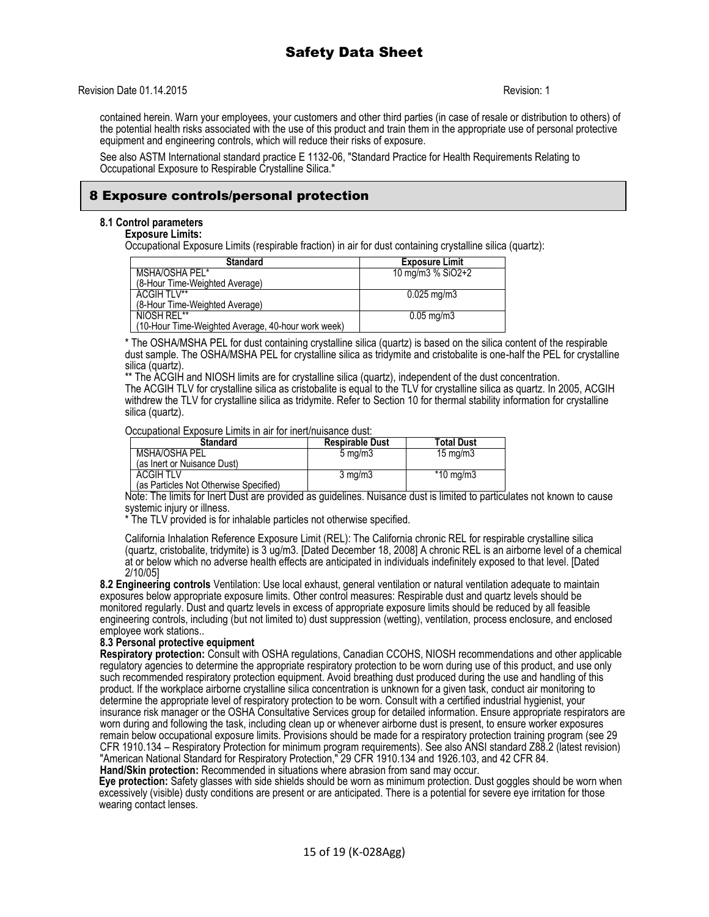#### Revision Date 01.14.2015 **Revision: 1**

contained herein. Warn your employees, your customers and other third parties (in case of resale or distribution to others) of the potential health risks associated with the use of this product and train them in the appropriate use of personal protective equipment and engineering controls, which will reduce their risks of exposure.

See also ASTM International standard practice E 1132-06, "Standard Practice for Health Requirements Relating to Occupational Exposure to Respirable Crystalline Silica."

## 8 Exposure controls/personal protection

#### **8.1 Control parameters**

**Exposure Limits:**

Occupational Exposure Limits (respirable fraction) in air for dust containing crystalline silica (quartz):

| <b>Standard</b>                                    | <b>Exposure Limit</b>  |
|----------------------------------------------------|------------------------|
| MSHA/OSHA PEL*                                     | 10 mg/m $3\%$ SiO2+2   |
| (8-Hour Time-Weighted Average)                     |                        |
| ACGIH TI V <sup>**</sup>                           | $0.025 \text{ mg/m}$ 3 |
| (8-Hour Time-Weighted Average)                     |                        |
| NIOSH REL**                                        | $0.05 \text{ mg/m}$    |
| (10-Hour Time-Weighted Average, 40-hour work week) |                        |

\* The OSHA/MSHA PEL for dust containing crystalline silica (quartz) is based on the silica content of the respirable dust sample. The OSHA/MSHA PEL for crystalline silica as tridymite and cristobalite is one-half the PEL for crystalline silica (quartz).

\*\* The ACGIH and NIOSH limits are for crystalline silica (quartz), independent of the dust concentration.

The ACGIH TLV for crystalline silica as cristobalite is equal to the TLV for crystalline silica as quartz. In 2005, ACGIH withdrew the TLV for crystalline silica as tridymite. Refer to Section 10 for thermal stability information for crystalline silica (quartz).

Occupational Exposure Limits in air for inert/nuisance dust:

| <b>Standard</b>                        | <b>Respirable Dust</b> | <b>Total Dust</b>  |
|----------------------------------------|------------------------|--------------------|
| MSHA/OSHA PEL                          | $5 \text{ mg/m}$       | $15 \text{ mg/m}$  |
| (as Inert or Nuisance Dust)            |                        |                    |
| <b>ACGIH TLV</b>                       | $3 \text{ mg/m}$       | $*10 \text{ mg/m}$ |
| (as Particles Not Otherwise Specified) |                        |                    |

Note: The limits for Inert Dust are provided as guidelines. Nuisance dust is limited to particulates not known to cause systemic injury or illness.

\* The TLV provided is for inhalable particles not otherwise specified.

California Inhalation Reference Exposure Limit (REL): The California chronic REL for respirable crystalline silica (quartz, cristobalite, tridymite) is 3 ug/m3. [Dated December 18, 2008] A chronic REL is an airborne level of a chemical at or below which no adverse health effects are anticipated in individuals indefinitely exposed to that level. [Dated 2/10/05]

**8.2 Engineering controls** Ventilation: Use local exhaust, general ventilation or natural ventilation adequate to maintain exposures below appropriate exposure limits. Other control measures: Respirable dust and quartz levels should be monitored regularly. Dust and quartz levels in excess of appropriate exposure limits should be reduced by all feasible engineering controls, including (but not limited to) dust suppression (wetting), ventilation, process enclosure, and enclosed employee work stations..

#### **8.3 Personal protective equipment**

**Respiratory protection:** Consult with OSHA regulations, Canadian CCOHS, NIOSH recommendations and other applicable regulatory agencies to determine the appropriate respiratory protection to be worn during use of this product, and use only such recommended respiratory protection equipment. Avoid breathing dust produced during the use and handling of this product. If the workplace airborne crystalline silica concentration is unknown for a given task, conduct air monitoring to determine the appropriate level of respiratory protection to be worn. Consult with a certified industrial hygienist, your insurance risk manager or the OSHA Consultative Services group for detailed information. Ensure appropriate respirators are worn during and following the task, including clean up or whenever airborne dust is present, to ensure worker exposures remain below occupational exposure limits. Provisions should be made for a respiratory protection training program (see 29 CFR 1910.134 – Respiratory Protection for minimum program requirements). See also ANSI standard Z88.2 (latest revision) "American National Standard for Respiratory Protection," 29 CFR 1910.134 and 1926.103, and 42 CFR 84. **Hand/Skin protection:** Recommended in situations where abrasion from sand may occur.

**Eye protection:** Safety glasses with side shields should be worn as minimum protection. Dust goggles should be worn when excessively (visible) dusty conditions are present or are anticipated. There is a potential for severe eye irritation for those wearing contact lenses.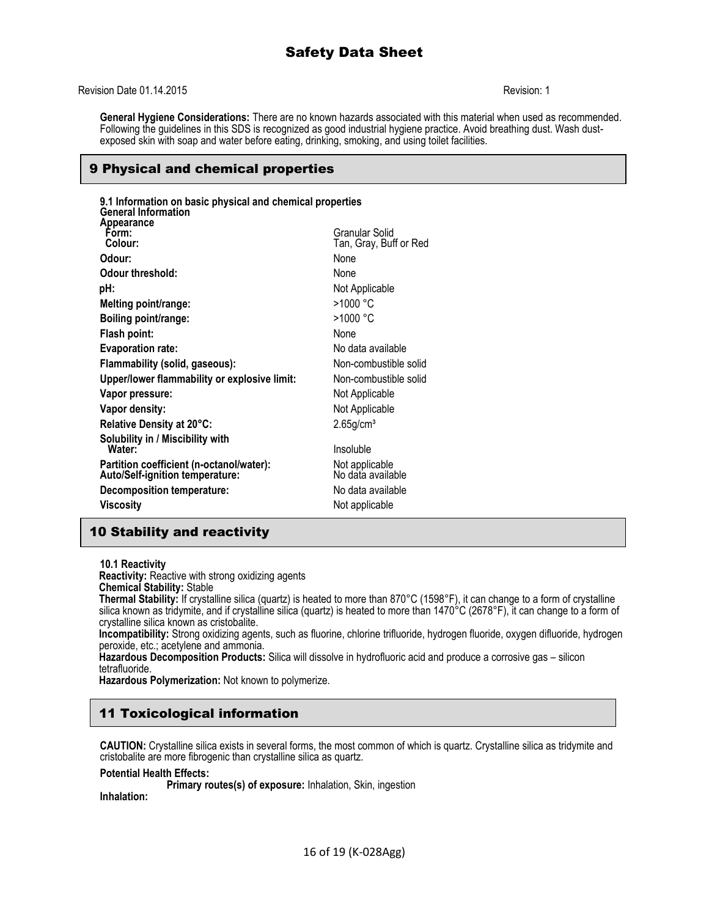#### Revision Date 01.14.2015 Revision: 1

**General Hygiene Considerations:** There are no known hazards associated with this material when used as recommended. Following the guidelines in this SDS is recognized as good industrial hygiene practice. Avoid breathing dust. Wash dustexposed skin with soap and water before eating, drinking, smoking, and using toilet facilities.

## 9 Physical and chemical properties

| 9.1 Information on basic physical and chemical properties<br><b>General Information</b> |                                     |  |
|-----------------------------------------------------------------------------------------|-------------------------------------|--|
| Appearance<br>Form:                                                                     | Granular Solid                      |  |
| Colour:                                                                                 | Tan, Gray, Buff or Red              |  |
| Odour:                                                                                  | None                                |  |
| <b>Odour threshold:</b>                                                                 | None                                |  |
| pH:                                                                                     | Not Applicable                      |  |
| Melting point/range:                                                                    | >1000 °C                            |  |
| Boiling point/range:                                                                    | >1000 °C                            |  |
| Flash point:                                                                            | None                                |  |
| <b>Evaporation rate:</b>                                                                | No data available                   |  |
| Flammability (solid, gaseous):                                                          | Non-combustible solid               |  |
| Upper/lower flammability or explosive limit:                                            | Non-combustible solid               |  |
| Vapor pressure:                                                                         | Not Applicable                      |  |
| Vapor density:                                                                          | Not Applicable                      |  |
| Relative Density at 20°C:                                                               | $2.65$ g/cm <sup>3</sup>            |  |
| Solubility in / Miscibility with                                                        |                                     |  |
| Water:                                                                                  | Insoluble                           |  |
| Partition coefficient (n-octanol/water):<br>Auto/Self-ignition temperature:             | Not applicable<br>No data available |  |
| Decomposition temperature:                                                              | No data available                   |  |
| <b>Viscosity</b>                                                                        | Not applicable                      |  |
|                                                                                         |                                     |  |

## 10 Stability and reactivity

**10.1 Reactivity**

**Reactivity:** Reactive with strong oxidizing agents **Chemical Stability:** Stable

**Thermal Stability:** If crystalline silica (quartz) is heated to more than 870°C (1598°F), it can change to a form of crystalline silica known as tridymite, and if crystalline silica (quartz) is heated to more than 1470°C (2678°F), it can change to a form of crystalline silica known as cristobalite.

**Incompatibility:** Strong oxidizing agents, such as fluorine, chlorine trifluoride, hydrogen fluoride, oxygen difluoride, hydrogen peroxide, etc.; acetylene and ammonia.

**Hazardous Decomposition Products:** Silica will dissolve in hydrofluoric acid and produce a corrosive gas – silicon tetrafluoride.

**Hazardous Polymerization:** Not known to polymerize.

## 11 Toxicological information

**CAUTION:** Crystalline silica exists in several forms, the most common of which is quartz. Crystalline silica as tridymite and cristobalite are more fibrogenic than crystalline silica as quartz.

#### **Potential Health Effects:**

**Primary routes(s) of exposure:** Inhalation, Skin, ingestion

**Inhalation:**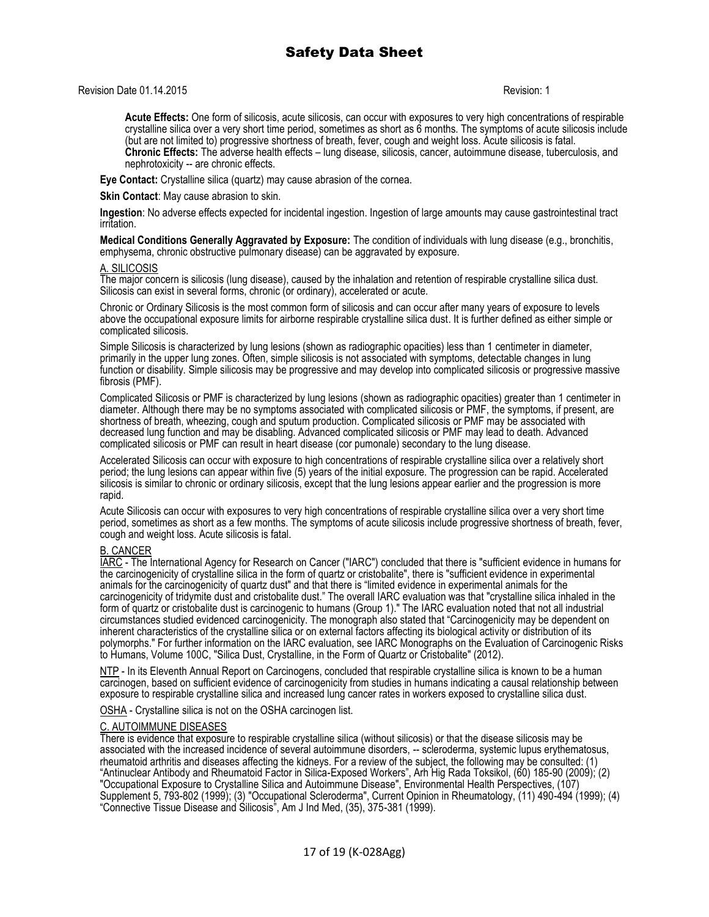#### Revision Date 01.14.2015 Revision: 1

Acute Effects: One form of silicosis, acute silicosis, can occur with exposures to very high concentrations of respirable crystalline silica over a very short time period, sometimes as short as 6 months. The symptoms of acute silicosis include (but are not limited to) progressive shortness of breath, fever, cough and weight loss. Acute silicosis is fatal. **Chronic Effects:** The adverse health effects – lung disease, silicosis, cancer, autoimmune disease, tuberculosis, and nephrotoxicity -- are chronic effects.

**Eye Contact:** Crystalline silica (quartz) may cause abrasion of the cornea.

**Skin Contact**: May cause abrasion to skin.

**Ingestion**: No adverse effects expected for incidental ingestion. Ingestion of large amounts may cause gastrointestinal tract irritation.

**Medical Conditions Generally Aggravated by Exposure:** The condition of individuals with lung disease (e.g., bronchitis, emphysema, chronic obstructive pulmonary disease) can be aggravated by exposure.

#### A. SILICOSIS

The major concern is silicosis (lung disease), caused by the inhalation and retention of respirable crystalline silica dust. Silicosis can exist in several forms, chronic (or ordinary), accelerated or acute.

Chronic or Ordinary Silicosis is the most common form of silicosis and can occur after many years of exposure to levels above the occupational exposure limits for airborne respirable crystalline silica dust. It is further defined as either simple or complicated silicosis.

Simple Silicosis is characterized by lung lesions (shown as radiographic opacities) less than 1 centimeter in diameter, primarily in the upper lung zones. Often, simple silicosis is not associated with symptoms, detectable changes in lung function or disability. Simple silicosis may be progressive and may develop into complicated silicosis or progressive massive fibrosis (PMF).

Complicated Silicosis or PMF is characterized by lung lesions (shown as radiographic opacities) greater than 1 centimeter in diameter. Although there may be no symptoms associated with complicated silicosis or PMF, the symptoms, if present, are shortness of breath, wheezing, cough and sputum production. Complicated silicosis or PMF may be associated with decreased lung function and may be disabling. Advanced complicated silicosis or PMF may lead to death. Advanced complicated silicosis or PMF can result in heart disease (cor pumonale) secondary to the lung disease.

Accelerated Silicosis can occur with exposure to high concentrations of respirable crystalline silica over a relatively short period; the lung lesions can appear within five (5) years of the initial exposure. The progression can be rapid. Accelerated silicosis is similar to chronic or ordinary silicosis, except that the lung lesions appear earlier and the progression is more rapid.

Acute Silicosis can occur with exposures to very high concentrations of respirable crystalline silica over a very short time period, sometimes as short as a few months. The symptoms of acute silicosis include progressive shortness of breath, fever, cough and weight loss. Acute silicosis is fatal.

#### B. CANCER

IARC - The International Agency for Research on Cancer ("IARC") concluded that there is "sufficient evidence in humans for the carcinogenicity of crystalline silica in the form of quartz or cristobalite", there is "sufficient evidence in experimental animals for the carcinogenicity of quartz dust" and that there is "limited evidence in experimental animals for the carcinogenicity of tridymite dust and cristobalite dust." The overall IARC evaluation was that "crystalline silica inhaled in the form of quartz or cristobalite dust is carcinogenic to humans (Group 1)." The IARC evaluation noted that not all industrial circumstances studied evidenced carcinogenicity. The monograph also stated that "Carcinogenicity may be dependent on inherent characteristics of the crystalline silica or on external factors affecting its biological activity or distribution of its polymorphs." For further information on the IARC evaluation, see IARC Monographs on the Evaluation of Carcinogenic Risks to Humans, Volume 100C, "Silica Dust, Crystalline, in the Form of Quartz or Cristobalite" (2012).

NTP - In its Eleventh Annual Report on Carcinogens, concluded that respirable crystalline silica is known to be a human carcinogen, based on sufficient evidence of carcinogenicity from studies in humans indicating a causal relationship between exposure to respirable crystalline silica and increased lung cancer rates in workers exposed to crystalline silica dust.

OSHA - Crystalline silica is not on the OSHA carcinogen list.

#### C. AUTOIMMUNE DISEASES

There is evidence that exposure to respirable crystalline silica (without silicosis) or that the disease silicosis may be associated with the increased incidence of several autoimmune disorders, -- scleroderma, systemic lupus erythematosus, rheumatoid arthritis and diseases affecting the kidneys. For a review of the subject, the following may be consulted: (1) "Antinuclear Antibody and Rheumatoid Factor in Silica-Exposed Workers", Arh Hig Rada Toksikol, (60) 185-90 (2009); (2) "Occupational Exposure to Crystalline Silica and Autoimmune Disease", Environmental Health Perspectives, (107) Supplement 5, 793-802 (1999); (3) "Occupational Scleroderma", Current Opinion in Rheumatology, (11) 490-494 (1999); (4) "Connective Tissue Disease and Silicosis", Am J Ind Med, (35), 375-381 (1999).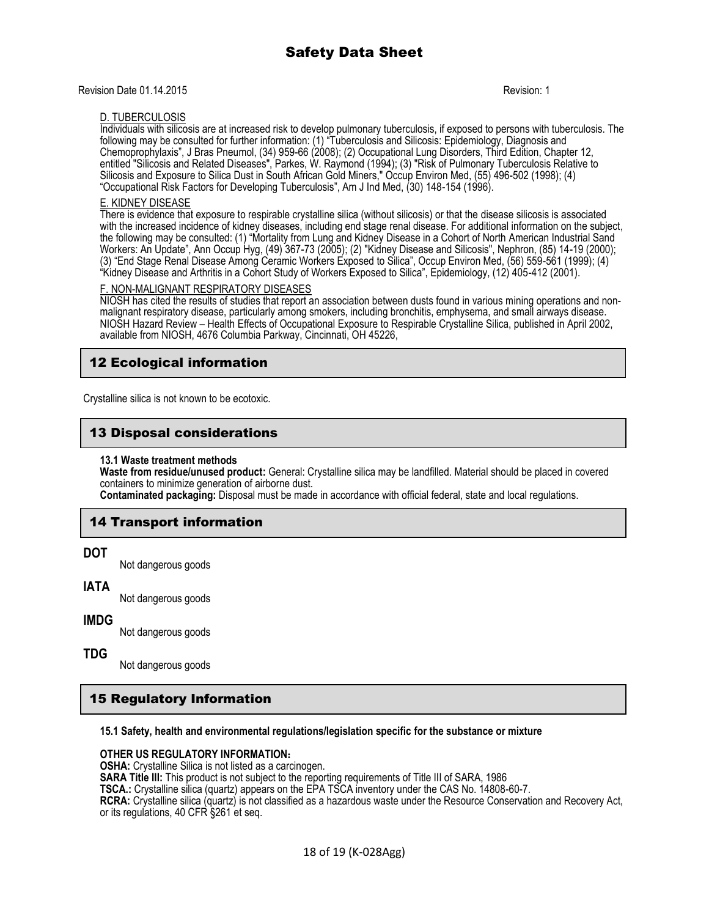Revision Date 01.14.2015 **Revision: 1** 

#### D. TUBERCULOSIS

Individuals with silicosis are at increased risk to develop pulmonary tuberculosis, if exposed to persons with tuberculosis. The following may be consulted for further information: (1) "Tuberculosis and Silicosis: Epidemiology, Diagnosis and Chemoprophylaxis", J Bras Pneumol, (34) 959-66 (2008); (2) Occupational Lung Disorders, Third Edition, Chapter 12, entitled "Silicosis and Related Diseases", Parkes, W. Raymond (1994); (3) "Risk of Pulmonary Tuberculosis Relative to Silicosis and Exposure to Silica Dust in South African Gold Miners," Occup Environ Med, (55) 496-502 (1998); (4) "Occupational Risk Factors for Developing Tuberculosis", Am J Ind Med, (30) 148-154 (1996).

## E. KIDNEY DISEASE

There is evidence that exposure to respirable crystalline silica (without silicosis) or that the disease silicosis is associated with the increased incidence of kidney diseases, including end stage renal disease. For additional information on the subject, the following may be consulted: (1) "Mortality from Lung and Kidney Disease in a Cohort of North American Industrial Sand Workers: An Update", Ann Occup Hyg, (49) 367-73 (2005); (2) "Kidney Disease and Silicosis", Nephron, (85) 14-19 (2000); (3) "End Stage Renal Disease Among Ceramic Workers Exposed to Silica", Occup Environ Med, (56) 559-561 (1999); (4) "Kidney Disease and Arthritis in a Cohort Study of Workers Exposed to Silica", Epidemiology, (12) 405-412 (2001).

#### F. NON-MALIGNANT RESPIRATORY DISEASES

NIOSH has cited the results of studies that report an association between dusts found in various mining operations and nonmalignant respiratory disease, particularly among smokers, including bronchitis, emphysema, and small airways disease. NIOSH Hazard Review – Health Effects of Occupational Exposure to Respirable Crystalline Silica, published in April 2002, available from NIOSH, 4676 Columbia Parkway, Cincinnati, OH 45226,

## 12 Ecological information

Crystalline silica is not known to be ecotoxic.

## 13 Disposal considerations

#### **13.1 Waste treatment methods**

**Waste from residue/unused product:** General: Crystalline silica may be landfilled. Material should be placed in covered containers to minimize generation of airborne dust.

**Contaminated packaging:** Disposal must be made in accordance with official federal, state and local regulations.

## 14 Transport information

#### **DOT**

Not dangerous goods

### **IATA**

Not dangerous goods

#### **IMDG**

Not dangerous goods

#### **TDG**

Not dangerous goods

## 15 Regulatory Information

#### **15.1 Safety, health and environmental regulations/legislation specific for the substance or mixture**

#### **OTHER US REGULATORY INFORMATION:**

**OSHA:** Crystalline Silica is not listed as a carcinogen.

**SARA Title III:** This product is not subject to the reporting requirements of Title III of SARA, 1986

**TSCA.:** Crystalline silica (quartz) appears on the EPA TSCA inventory under the CAS No. 14808-60-7.

**RCRA:** Crystalline silica (quartz) is not classified as a hazardous waste under the Resource Conservation and Recovery Act, or its regulations, 40 CFR §261 et seq.